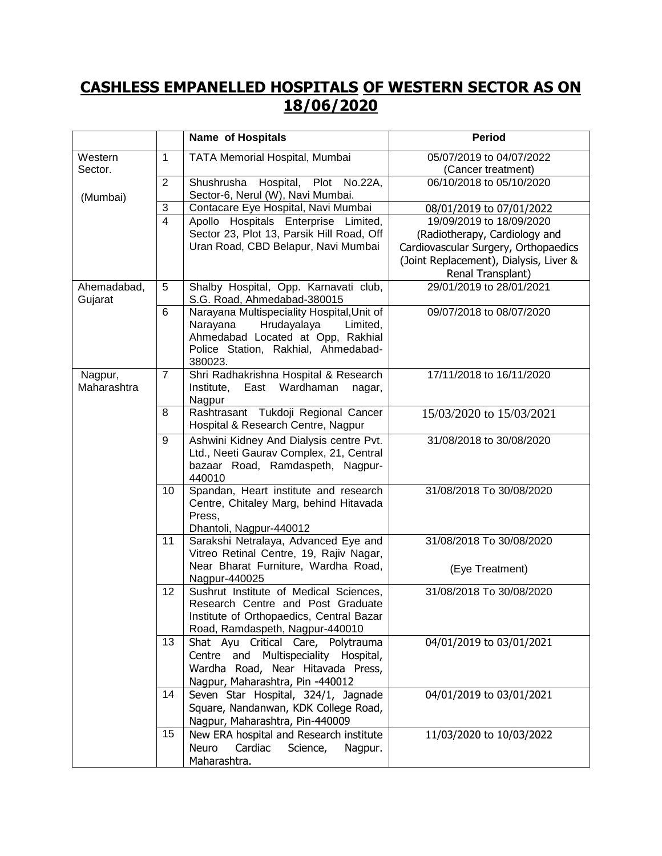## **CASHLESS EMPANELLED HOSPITALS OF WESTERN SECTOR AS ON 18/06/2020**

|                                |                | <b>Name of Hospitals</b>                                                                                                                                   | <b>Period</b>                                  |
|--------------------------------|----------------|------------------------------------------------------------------------------------------------------------------------------------------------------------|------------------------------------------------|
| Western<br>Sector.<br>(Mumbai) | $\mathbf 1$    | TATA Memorial Hospital, Mumbai                                                                                                                             | 05/07/2019 to 04/07/2022<br>(Cancer treatment) |
|                                | $\overline{2}$ | Shushrusha Hospital, Plot No.22A,<br>Sector-6, Nerul (W), Navi Mumbai.                                                                                     | 06/10/2018 to 05/10/2020                       |
|                                | 3              | Contacare Eye Hospital, Navi Mumbai                                                                                                                        | 08/01/2019 to 07/01/2022                       |
|                                | $\overline{4}$ | Apollo Hospitals Enterprise Limited,                                                                                                                       | 19/09/2019 to 18/09/2020                       |
|                                |                | Sector 23, Plot 13, Parsik Hill Road, Off                                                                                                                  | (Radiotherapy, Cardiology and                  |
|                                |                | Uran Road, CBD Belapur, Navi Mumbai                                                                                                                        | Cardiovascular Surgery, Orthopaedics           |
|                                |                |                                                                                                                                                            | (Joint Replacement), Dialysis, Liver &         |
|                                |                |                                                                                                                                                            | Renal Transplant)                              |
| Ahemadabad,<br>Gujarat         | 5              | Shalby Hospital, Opp. Karnavati club,<br>S.G. Road, Ahmedabad-380015                                                                                       | 29/01/2019 to 28/01/2021                       |
|                                | 6              | Narayana Multispeciality Hospital, Unit of<br>Hrudayalaya<br>Narayana<br>Limited,<br>Ahmedabad Located at Opp, Rakhial                                     | 09/07/2018 to 08/07/2020                       |
|                                |                | Police Station, Rakhial, Ahmedabad-<br>380023.                                                                                                             |                                                |
| Nagpur,<br>Maharashtra         | $\overline{7}$ | Shri Radhakrishna Hospital & Research<br>Institute,<br>East<br>Wardhaman<br>nagar,<br>Nagpur                                                               | 17/11/2018 to 16/11/2020                       |
|                                | 8              | Rashtrasant Tukdoji Regional Cancer<br>Hospital & Research Centre, Nagpur                                                                                  | 15/03/2020 to 15/03/2021                       |
|                                | 9              | Ashwini Kidney And Dialysis centre Pvt.<br>Ltd., Neeti Gaurav Complex, 21, Central<br>bazaar Road, Ramdaspeth, Nagpur-<br>440010                           | 31/08/2018 to 30/08/2020                       |
|                                | 10             | Spandan, Heart institute and research<br>Centre, Chitaley Marg, behind Hitavada<br>Press,<br>Dhantoli, Nagpur-440012                                       | 31/08/2018 To 30/08/2020                       |
|                                | 11             | Sarakshi Netralaya, Advanced Eye and<br>Vitreo Retinal Centre, 19, Rajiv Nagar,                                                                            | 31/08/2018 To 30/08/2020                       |
|                                |                | Near Bharat Furniture, Wardha Road,<br>Nagpur-440025                                                                                                       | (Eye Treatment)                                |
|                                | 12             | Sushrut Institute of Medical Sciences,<br>Research Centre and Post Graduate<br>Institute of Orthopaedics, Central Bazar<br>Road, Ramdaspeth, Nagpur-440010 | 31/08/2018 To 30/08/2020                       |
|                                | 13             | Shat Ayu Critical Care, Polytrauma<br>Centre and Multispeciality Hospital,<br>Wardha Road, Near Hitavada Press,<br>Nagpur, Maharashtra, Pin -440012        | 04/01/2019 to 03/01/2021                       |
|                                | 14             | Seven Star Hospital, 324/1, Jagnade<br>Square, Nandanwan, KDK College Road,<br>Nagpur, Maharashtra, Pin-440009                                             | 04/01/2019 to 03/01/2021                       |
|                                | 15             | New ERA hospital and Research institute<br><b>Neuro</b><br>Cardiac<br>Science,<br>Nagpur.<br>Maharashtra.                                                  | 11/03/2020 to 10/03/2022                       |